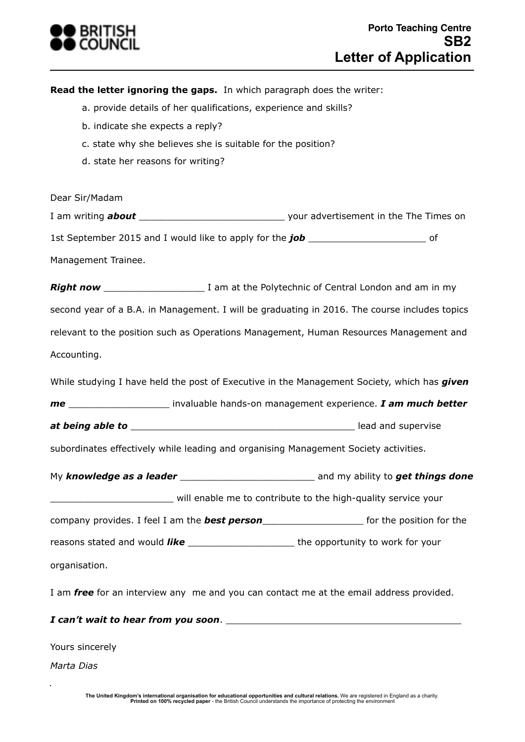

**Read the letter ignoring the gaps.** In which paragraph does the writer:

- a. provide details of her qualifications, experience and skills?
- b. indicate she expects a reply?
- c. state why she believes she is suitable for the position?
- d. state her reasons for writing?

Dear Sir/Madam

I am writing *about* \_\_\_\_\_\_\_\_\_\_\_\_\_\_\_\_\_\_\_\_\_\_\_\_\_\_ your advertisement in the The Times on 1st September 2015 and I would like to apply for the *job* \_\_\_\_\_\_\_\_\_\_\_\_\_\_\_\_\_\_\_\_\_ of

Management Trainee.

*Right now* \_\_\_\_\_\_\_\_\_\_\_\_\_\_\_\_\_\_ I am at the Polytechnic of Central London and am in my second year of a B.A. in Management. I will be graduating in 2016. The course includes topics relevant to the position such as Operations Management, Human Resources Management and Accounting.

While studying I have held the post of Executive in the Management Society, which has *given* 

*me* \_\_\_\_\_\_\_\_\_\_\_\_\_\_\_\_\_\_ invaluable hands-on management experience. *I am much better* 

*at being able to* \_\_\_\_\_\_\_\_\_\_\_\_\_\_\_\_\_\_\_\_\_\_\_\_\_\_\_\_\_\_\_\_\_\_\_\_\_\_\_\_ lead and supervise

subordinates effectively while leading and organising Management Society activities.

My **knowledge as a leader and the set of things done** and my ability to **get things done** \_\_\_\_\_\_\_\_\_\_\_\_\_\_\_\_\_\_\_\_\_\_ will enable me to contribute to the high-quality service your

company provides. I feel I am the *best person*\_\_\_\_\_\_\_\_\_\_\_\_\_\_\_\_\_\_ for the position for the

reasons stated and would *like* \_\_\_\_\_\_\_\_\_\_\_\_\_\_\_\_\_\_\_\_\_\_\_\_\_the opportunity to work for your organisation.

I am *free* for an interview any me and you can contact me at the email address provided.

## *I can't wait to hear from you soon.*

Yours sincerely

*Marta Dias*